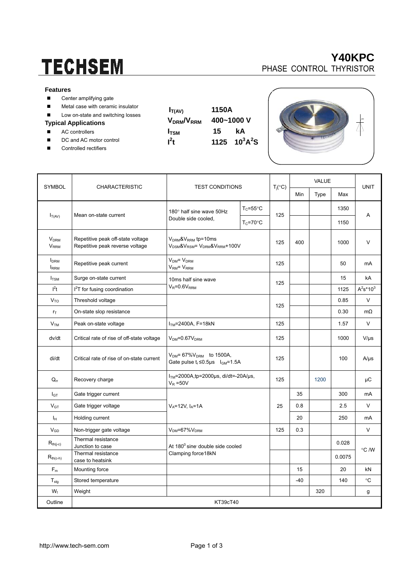# **TECHSEM**

#### **Features**

- Center amplifying gate
- **Metal case with ceramic insulator**
- Low on-state and switching losses

### **Typical Applications**

- AC controllers
- DC and AC motor control
- Controlled rectifiers

| $\mathsf{V}_{\mathsf{DRM}}\!\mathsf{W}_{\mathsf{RI}}$ |
|-------------------------------------------------------|
| $I_{\text{TSM}}$<br>$I^2t$                            |
|                                                       |

 $I_{T(AV)}$  1150A **RM** 400~1000 V 15 kA  $^4$ **t** 1125 10<sup>3</sup>A<sup>2</sup>S





|                                                  |                                                                                                                                  | <b>TEST CONDITIONS</b>                                                                                                      |                     | $T_i({}^{\circ}C)$ | <b>VALUE</b> |             |              |             |  |
|--------------------------------------------------|----------------------------------------------------------------------------------------------------------------------------------|-----------------------------------------------------------------------------------------------------------------------------|---------------------|--------------------|--------------|-------------|--------------|-------------|--|
| SYMBOL                                           | <b>CHARACTERISTIC</b>                                                                                                            |                                                                                                                             |                     |                    | Min          | <b>Type</b> | Max          | <b>UNIT</b> |  |
| $I_{T(AV)}$                                      |                                                                                                                                  | 180° half sine wave 50Hz<br>Double side cooled,                                                                             | $T_c = 55^{\circ}C$ | 125                |              |             | 1350         | A           |  |
|                                                  | Mean on-state current                                                                                                            |                                                                                                                             | $T_c = 70$ °C       |                    |              |             | 1150         |             |  |
| <b>V<sub>DRM</sub></b><br><b>V<sub>RRM</sub></b> | Repetitive peak off-state voltage<br>Repetitive peak reverse voltage                                                             | V <sub>DRM</sub> &V <sub>RRM</sub> tp=10ms<br>V <sub>DSM</sub> &V <sub>RSM</sub> = V <sub>DRM</sub> &V <sub>RRM</sub> +100V |                     | 125                | 400          |             | 1000         | V           |  |
| <b>I</b> <sub>DRM</sub><br><b>IRRM</b>           | Repetitive peak current                                                                                                          | $V_{DM} = V_{DRM}$<br>V <sub>RM</sub> = V <sub>RRM</sub>                                                                    |                     | 125                |              |             | 50           | mA          |  |
| $I_{\text{TSM}}$                                 | Surge on-state current<br>10ms half sine wave<br>$V_R = 0.6V_{RRM}$<br>$I2T$ for fusing coordination                             |                                                                                                                             | 125                 |                    |              | 15          | kA           |             |  |
| l <sup>2</sup> t                                 |                                                                                                                                  |                                                                                                                             |                     |                    |              | 1125        | $A^2s^*10^3$ |             |  |
| $V_{TO}$                                         | Threshold voltage                                                                                                                |                                                                                                                             |                     |                    |              |             | 0.85         | V           |  |
| $r_T$                                            | On-state slop resistance                                                                                                         |                                                                                                                             | 125                 |                    |              | 0.30        | $m\Omega$    |             |  |
| V <sub>TM</sub>                                  | Peak on-state voltage<br>$ITM=2400A, F=18kN$                                                                                     |                                                                                                                             |                     | 125                |              |             | 1.57         | V           |  |
| dv/dt                                            | Critical rate of rise of off-state voltage<br>$VDM=0.67VDRM$                                                                     |                                                                                                                             | 125                 |                    |              | 1000        | $V/\mu s$    |             |  |
| di/dt                                            | $V_{DM}$ = 67% $V_{DRM}$ to 1500A,<br>Critical rate of rise of on-state current<br>Gate pulse $t_r \le 0.5\mu s$ $I_{GM} = 1.5A$ |                                                                                                                             | 125                 |                    |              | 100         | $A/\mu s$    |             |  |
| $Q_{rr}$                                         | Recovery charge                                                                                                                  | ITM=2000A,tp=2000µs, di/dt=-20A/µs,<br>$V_R = 50V$                                                                          |                     | 125                |              | 1200        |              | μC          |  |
| $I_{GT}$                                         | Gate trigger current                                                                                                             | $V_A = 12V$ , $I_A = 1A$                                                                                                    |                     | 25                 | 35           |             | 300          | mA          |  |
| $V_{GT}$                                         | Gate trigger voltage                                                                                                             |                                                                                                                             |                     |                    | 0.8          |             | 2.5          | V           |  |
| Iн                                               | Holding current                                                                                                                  |                                                                                                                             |                     |                    | 20           |             | 250          | mA          |  |
| $V_{GD}$                                         | Non-trigger gate voltage                                                                                                         | $VDM=67%VDRM$                                                                                                               |                     | 125                | 0.3          |             |              | V           |  |
| $R_{th(i-c)}$                                    | Thermal resistance<br>Junction to case                                                                                           | At 180 <sup>0</sup> sine double side cooled<br>Clamping force18kN                                                           |                     |                    |              |             | 0.028        | °C /W       |  |
| $R_{th(c-h)}$                                    | Thermal resistance<br>case to heatsink                                                                                           |                                                                                                                             |                     |                    |              |             | 0.0075       |             |  |
| $F_m$                                            | Mounting force                                                                                                                   |                                                                                                                             |                     |                    | 15           |             | 20           | kN          |  |
| $T_{\text{stg}}$                                 | Stored temperature                                                                                                               |                                                                                                                             |                     |                    | $-40$        |             | 140          | °C          |  |
| $W_t$                                            | Weight                                                                                                                           |                                                                                                                             |                     |                    |              | 320         |              | g           |  |
| Outline                                          | KT39cT40                                                                                                                         |                                                                                                                             |                     |                    |              |             |              |             |  |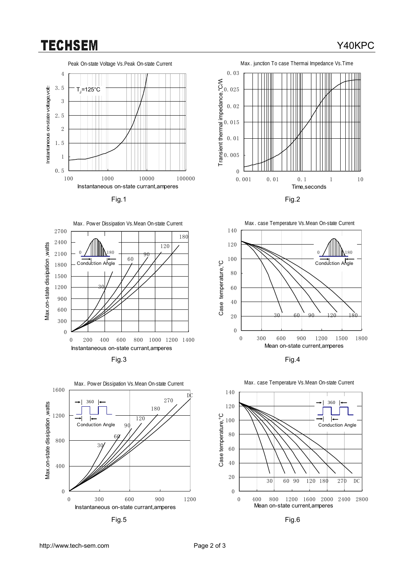## **TECHSEM**

## Peak On-state Voltage Vs.Peak On-state Current 4 Instantaneous on-state voltage,volts Instantaneous on-state voltage, volts 3.5  $\mathsf{T}_{\mathsf{J}}$ =125°C 3 2.5 2 1.5 1 0.5 100 1000 10000 100000 Instantaneous on-state currant,amperes

















http://www.tech-sem.com Page 2 of 3